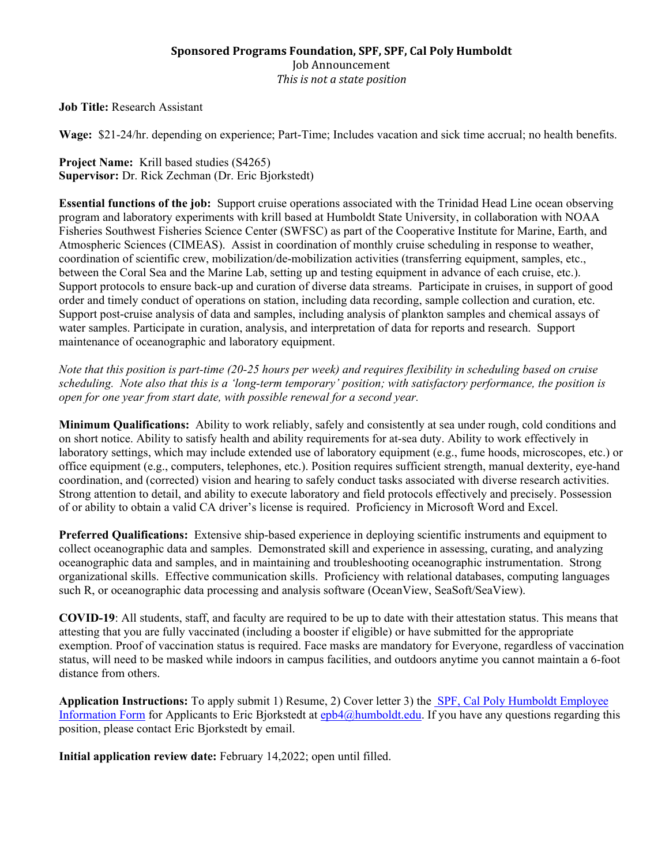## **Sponsored Programs Foundation, SPF, SPF, Cal Poly Humboldt** Job Announcement *This is not a state position*

**Job Title:** Research Assistant

**Wage:** \$21-24/hr. depending on experience; Part-Time; Includes vacation and sick time accrual; no health benefits.

**Project Name:** Krill based studies (S4265) **Supervisor:** Dr. Rick Zechman (Dr. Eric Bjorkstedt)

**Essential functions of the job:** Support cruise operations associated with the Trinidad Head Line ocean observing program and laboratory experiments with krill based at Humboldt State University, in collaboration with NOAA Fisheries Southwest Fisheries Science Center (SWFSC) as part of the Cooperative Institute for Marine, Earth, and Atmospheric Sciences (CIMEAS). Assist in coordination of monthly cruise scheduling in response to weather, coordination of scientific crew, mobilization/de-mobilization activities (transferring equipment, samples, etc., between the Coral Sea and the Marine Lab, setting up and testing equipment in advance of each cruise, etc.). Support protocols to ensure back-up and curation of diverse data streams. Participate in cruises, in support of good order and timely conduct of operations on station, including data recording, sample collection and curation, etc. Support post-cruise analysis of data and samples, including analysis of plankton samples and chemical assays of water samples. Participate in curation, analysis, and interpretation of data for reports and research. Support maintenance of oceanographic and laboratory equipment.

*Note that this position is part-time (20-25 hours per week) and requires flexibility in scheduling based on cruise scheduling. Note also that this is a 'long-term temporary' position; with satisfactory performance, the position is open for one year from start date, with possible renewal for a second year.*

**Minimum Qualifications:** Ability to work reliably, safely and consistently at sea under rough, cold conditions and on short notice. Ability to satisfy health and ability requirements for at-sea duty. Ability to work effectively in laboratory settings, which may include extended use of laboratory equipment (e.g., fume hoods, microscopes, etc.) or office equipment (e.g., computers, telephones, etc.). Position requires sufficient strength, manual dexterity, eye-hand coordination, and (corrected) vision and hearing to safely conduct tasks associated with diverse research activities. Strong attention to detail, and ability to execute laboratory and field protocols effectively and precisely. Possession of or ability to obtain a valid CA driver's license is required. Proficiency in Microsoft Word and Excel.

**Preferred Qualifications:** Extensive ship-based experience in deploying scientific instruments and equipment to collect oceanographic data and samples. Demonstrated skill and experience in assessing, curating, and analyzing oceanographic data and samples, and in maintaining and troubleshooting oceanographic instrumentation. Strong organizational skills. Effective communication skills. Proficiency with relational databases, computing languages such R, or oceanographic data processing and analysis software (OceanView, SeaSoft/SeaView).

**COVID-19**: All students, staff, and faculty are required to be up to date with their attestation status. This means that attesting that you are fully vaccinated (including a booster if eligible) or have submitted for the appropriate exemption. Proof of vaccination status is required. Face masks are mandatory for Everyone, regardless of vaccination status, will need to be masked while indoors in campus facilities, and outdoors anytime you cannot maintain a 6-foot distance from others.

**Application Instructions:** To apply submit 1) Resume, 2) Cover letter 3) the [SPF, Cal Poly Humboldt Employee](mailto:%20SPF,%20Cal%20Poly%20Humboldt%20Employee%20Information%20Form)  [Information Form](mailto:%20SPF,%20Cal%20Poly%20Humboldt%20Employee%20Information%20Form) for Applicants to Eric Bjorkstedt at [epb4@humboldt.edu.](mailto:epb4@humboldt.edu) If you have any questions regarding this position, please contact Eric Bjorkstedt by email.

**Initial application review date:** February 14,2022; open until filled.